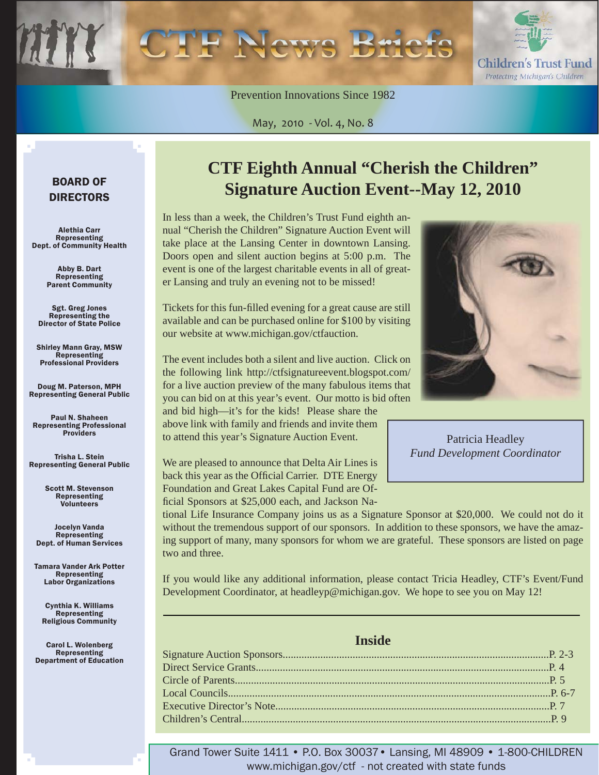Children's Trust Fund Protecting Michigan's Children

Prevention Innovations Since 1982

May, 2010 - Vol. 4, No. 8

### BOARD OF DIRECTORS

Alethia Carr Representing Dept. of Community Health

> Abby B. Dart Representing Parent Community

Sgt. Greg Jones Representing the Director of State Police

Shirley Mann Gray, MSW **Representing** Professional Providers

Doug M. Paterson, MPH Representing General Public

Paul N. Shaheen Representing Professional Providers

Trisha L. Stein Representing General Public

> Scott M. Stevenson Representing **Volunteers**

Jocelyn Vanda Representing Dept. of Human Services

Tamara Vander Ark Potter Representing Labor Organizations

Cynthia K. Williams Representing Religious Community

Carol L. Wolenberg Representing Department of Education

### **CTF Eighth Annual "Cherish the Children" Signature Auction Event--May 12, 2010**

In less than a week, the Children's Trust Fund eighth annual "Cherish the Children" Signature Auction Event will take place at the Lansing Center in downtown Lansing. Doors open and silent auction begins at 5:00 p.m. The event is one of the largest charitable events in all of greater Lansing and truly an evening not to be missed!

Tickets for this fun-filled evening for a great cause are still available and can be purchased online for \$100 by visiting our website at www.michigan.gov/ctfauction.

The event includes both a silent and live auction. Click on the following link http://ctfsignatureevent.blogspot.com/ for a live auction preview of the many fabulous items that you can bid on at this year's event. Our motto is bid often and bid high—it's for the kids! Please share the above link with family and friends and invite them to attend this year's Signature Auction Event.

We are pleased to announce that Delta Air Lines is back this year as the Official Carrier. DTE Energy Foundation and Great Lakes Capital Fund are Official Sponsors at \$25,000 each, and Jackson Na-

tional Life Insurance Company joins us as a Signature Sponsor at \$20,000. We could not do it without the tremendous support of our sponsors. In addition to these sponsors, we have the amazing support of many, many sponsors for whom we are grateful. These sponsors are listed on page two and three.

If you would like any additional information, please contact Tricia Headley, CTF's Event/Fund Development Coordinator, at headleyp@michigan.gov. We hope to see you on May 12!

#### **Inside**

Grand Tower Suite 1411 • P.O. Box 30037• Lansing, MI 48909 • 1-800-CHILDREN www.michigan.gov/ctf - not created with state funds



Patricia Headley *Fund Development Coordinator*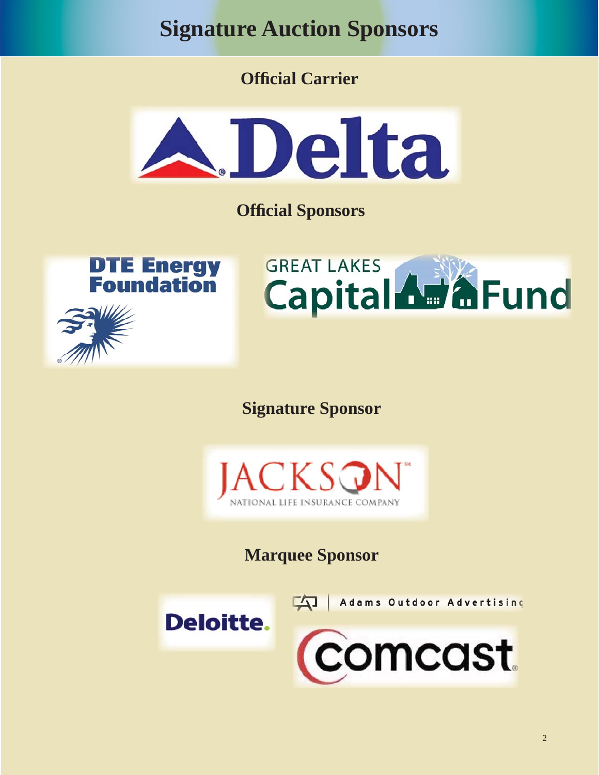<span id="page-1-0"></span>**Signature Auction Sponsors**

**Offi cial Carrier**



**Offi cial Sponsors**

**DTE Energy**<br>**Foundation** 



**Signature Sponsor**



**Marquee Sponsor**

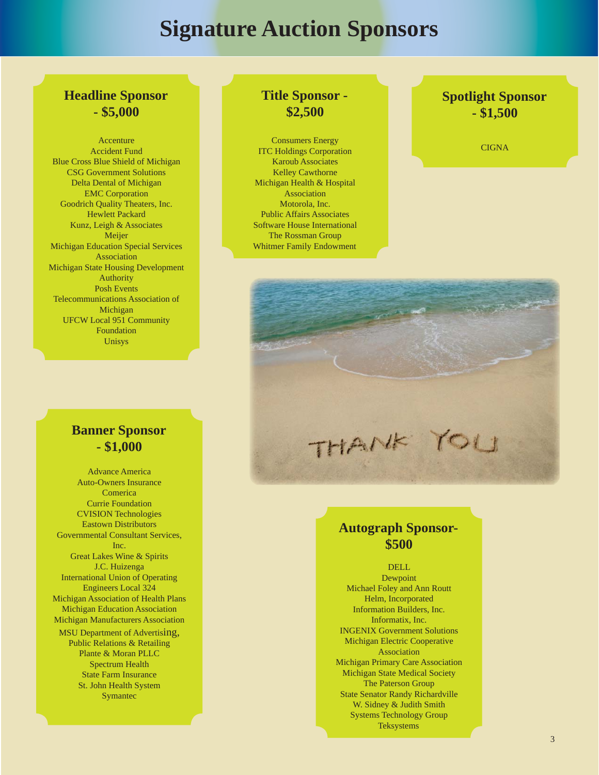### **Signature Auction Sponsors**

### **Headline Sponsor - \$5,000**

Accenture Accident Fund Blue Cross Blue Shield of Michigan CSG Government Solutions Delta Dental of Michigan EMC Corporation Goodrich Quality Theaters, Inc. Hewlett Packard Kunz, Leigh & Associates Meijer Michigan Education Special Services Association Michigan State Housing Development Authority Posh Events Telecommunications Association of Michigan UFCW Local 951 Community Foundation Unisys

### **Banner Sponsor - \$1,000**

Advance America Auto-Owners Insurance Comerica Currie Foundation CVISION Technologies Eastown Distributors Governmental Consultant Services, Inc. Great Lakes Wine & Spirits J.C. Huizenga International Union of Operating Engineers Local 324 Michigan Association of Health Plans Michigan Education Association Michigan Manufacturers Association MSU Department of Advertising, Public Relations & Retailing Plante & Moran PLLC Spectrum Health State Farm Insurance St. John Health System Symantec

### **Title Sponsor - \$2,500**

Consumers Energy ITC Holdings Corporation Karoub Associates Kelley Cawthorne Michigan Health & Hospital Association Motorola, Inc. Public Affairs Associates Software House International The Rossman Group Whitmer Family Endowment

### **Spotlight Sponsor - \$1,500**

**CIGNA** 



### **Autograph Sponsor- \$500**

DELL Dewpoint Michael Foley and Ann Routt Helm, Incorporated Information Builders, Inc. Informatix, Inc. INGENIX Government Solutions Michigan Electric Cooperative Association Michigan Primary Care Association Michigan State Medical Society The Paterson Group State Senator Randy Richardville W. Sidney & Judith Smith Systems Technology Group Teksystems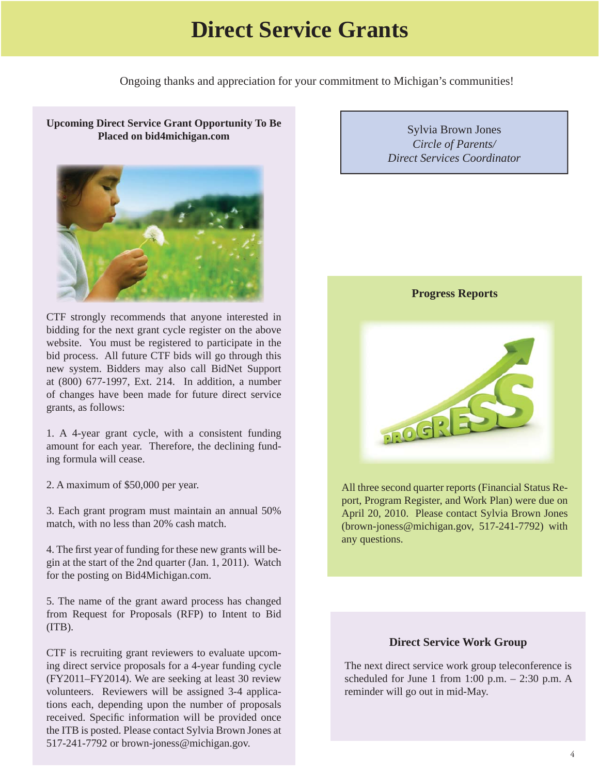### **Direct Service Grants**

Ongoing thanks and appreciation for your commitment to Michigan's communities!

<span id="page-3-0"></span>**Upcoming Direct Service Grant Opportunity To Be Placed on bid4michigan.com** 



CTF strongly recommends that anyone interested in bidding for the next grant cycle register on the above website. You must be registered to participate in the bid process. All future CTF bids will go through this new system. Bidders may also call BidNet Support at (800) 677-1997, Ext. 214. In addition, a number of changes have been made for future direct service grants, as follows:

1. A 4-year grant cycle, with a consistent funding amount for each year. Therefore, the declining funding formula will cease.

2. A maximum of \$50,000 per year.

3. Each grant program must maintain an annual 50% match, with no less than 20% cash match.

4. The first year of funding for these new grants will begin at the start of the 2nd quarter (Jan. 1, 2011). Watch for the posting on [Bid4Michigan.com](www.bid4michigan.com).

5. The name of the grant award process has changed from Request for Proposals (RFP) to Intent to Bid  $(TTB)$ .

CTF is recruiting grant reviewers to evaluate upcoming direct service proposals for a 4-year funding cycle (FY2011–FY2014). We are seeking at least 30 review volunteers. Reviewers will be assigned 3-4 applications each, depending upon the number of proposals received. Specific information will be provided once the ITB is posted. Please contact Sylvia Brown Jones at 517-241-7792 or brown-joness@michigan.gov.

Sylvia Brown Jones *Circle of Parents/ Direct Services Coordinator*



All three second quarter reports (Financial Status Report, Program Register, and Work Plan) were due on April 20, 2010. Please contact Sylvia Brown Jones (brown-joness@michigan.gov, 517-241-7792) with any questions.

#### **Direct Service Work Group**

The next direct service work group teleconference is scheduled for June 1 from 1:00 p.m.  $- 2:30$  p.m. A reminder will go out in mid-May.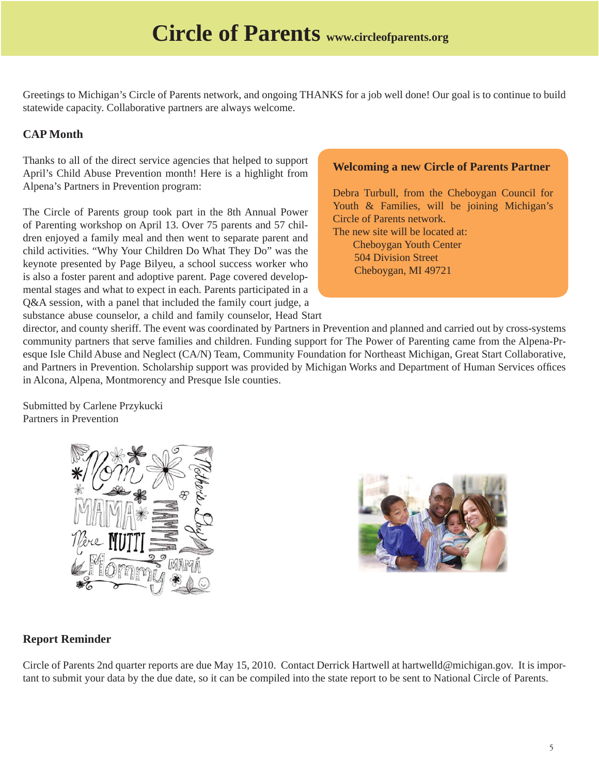<span id="page-4-0"></span>Greetings to Michigan's Circle of Parents network, and ongoing THANKS for a job well done! Our goal is to continue to build statewide capacity. Collaborative partners are always welcome.

### **CAP Month**

Thanks to all of the direct service agencies that helped to support April's Child Abuse Prevention month! Here is a highlight from Alpena's Partners in Prevention program:

The Circle of Parents group took part in the 8th Annual Power of Parenting workshop on April 13. Over 75 parents and 57 children enjoyed a family meal and then went to separate parent and child activities. "Why Your Children Do What They Do" was the keynote presented by Page Bilyeu, a school success worker who is also a foster parent and adoptive parent. Page covered developmental stages and what to expect in each. Parents participated in a Q&A session, with a panel that included the family court judge, a substance abuse counselor, a child and family counselor, Head Start

### **Welcoming a new Circle of Parents Partner**

Debra Turbull, from the Cheboygan Council for Youth & Families, will be joining Michigan's Circle of Parents network. The new site will be located at:

 Cheboygan Youth Center 504 Division Street Cheboygan, MI 49721

director, and county sheriff. The event was coordinated by Partners in Prevention and planned and carried out by cross-systems community partners that serve families and children. Funding support for The Power of Parenting came from the Alpena-Presque Isle Child Abuse and Neglect (CA/N) Team, Community Foundation for Northeast Michigan, Great Start Collaborative, and Partners in Prevention. Scholarship support was provided by Michigan Works and Department of Human Services offices in Alcona, Alpena, Montmorency and Presque Isle counties.

Submitted by Carlene Przykucki Partners in Prevention





### **Report Reminder**

Circle of Parents 2nd quarter reports are due May 15, 2010. Contact Derrick Hartwell at hartwelld@michigan.gov. It is important to submit your data by the due date, so it can be compiled into the state report to be sent to National Circle of Parents.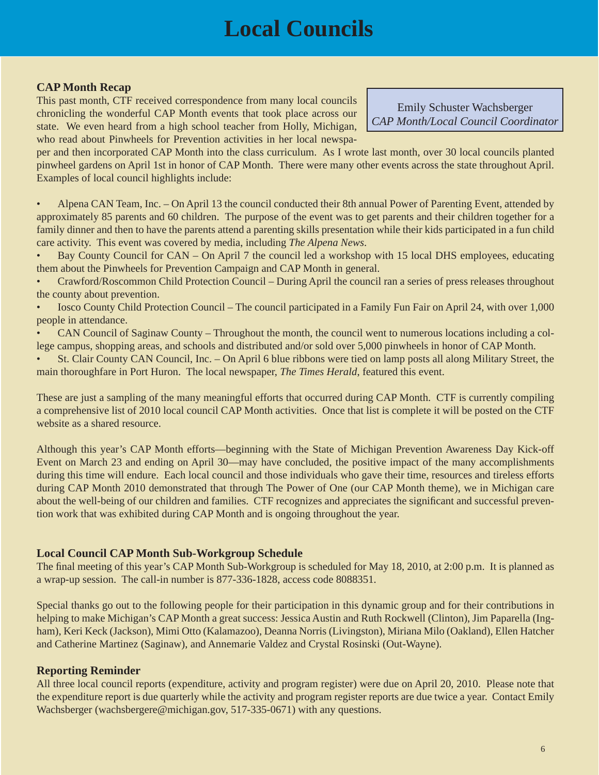## **Local Councils**

### <span id="page-5-0"></span>**CAP Month Recap**

This past month, CTF received correspondence from many local councils chronicling the wonderful CAP Month events that took place across our state. We even heard from a high school teacher from Holly, Michigan, who read about Pinwheels for Prevention activities in her local newspa-

Emily Schuster Wachsberger *CAP Month/Local Council Coordinator*

per and then incorporated CAP Month into the class curriculum. As I wrote last month, over 30 local councils planted pinwheel gardens on April 1st in honor of CAP Month. There were many other events across the state throughout April. Examples of local council highlights include:

• Alpena CAN Team, Inc. – On April 13 the council conducted their 8th annual Power of Parenting Event, attended by approximately 85 parents and 60 children. The purpose of the event was to get parents and their children together for a family dinner and then to have the parents attend a parenting skills presentation while their kids participated in a fun child care activity. This event was covered by media, including *The Alpena News*.

• Bay County Council for CAN – On April 7 the council led a workshop with 15 local DHS employees, educating them about the Pinwheels for Prevention Campaign and CAP Month in general.

• Crawford/Roscommon Child Protection Council – During April the council ran a series of press releases throughout the county about prevention.

• Iosco County Child Protection Council – The council participated in a Family Fun Fair on April 24, with over 1,000 people in attendance.

• CAN Council of Saginaw County – Throughout the month, the council went to numerous locations including a college campus, shopping areas, and schools and distributed and/or sold over 5,000 pinwheels in honor of CAP Month.

• St. Clair County CAN Council, Inc. – On April 6 blue ribbons were tied on lamp posts all along Military Street, the main thoroughfare in Port Huron. The local newspaper, *The Times Herald*, featured this event.

These are just a sampling of the many meaningful efforts that occurred during CAP Month. CTF is currently compiling a comprehensive list of 2010 local council CAP Month activities. Once that list is complete it will be posted on the CTF website as a shared resource.

Although this year's CAP Month efforts—beginning with the State of Michigan Prevention Awareness Day Kick-off Event on March 23 and ending on April 30—may have concluded, the positive impact of the many accomplishments during this time will endure. Each local council and those individuals who gave their time, resources and tireless efforts during CAP Month 2010 demonstrated that through The Power of One (our CAP Month theme), we in Michigan care about the well-being of our children and families. CTF recognizes and appreciates the significant and successful prevention work that was exhibited during CAP Month and is ongoing throughout the year.

### **Local Council CAP Month Sub-Workgroup Schedule**

The final meeting of this year's CAP Month Sub-Workgroup is scheduled for May 18, 2010, at 2:00 p.m. It is planned as a wrap-up session. The call-in number is 877-336-1828, access code 8088351.

Special thanks go out to the following people for their participation in this dynamic group and for their contributions in helping to make Michigan's CAP Month a great success: Jessica Austin and Ruth Rockwell (Clinton), Jim Paparella (Ingham), Keri Keck (Jackson), Mimi Otto (Kalamazoo), Deanna Norris (Livingston), Miriana Milo (Oakland), Ellen Hatcher and Catherine Martinez (Saginaw), and Annemarie Valdez and Crystal Rosinski (Out-Wayne).

### **Reporting Reminder**

All three local council reports (expenditure, activity and program register) were due on April 20, 2010. Please note that the expenditure report is due quarterly while the activity and program register reports are due twice a year. Contact Emily Wachsberger (wachsbergere@michigan.gov, 517-335-0671) with any questions.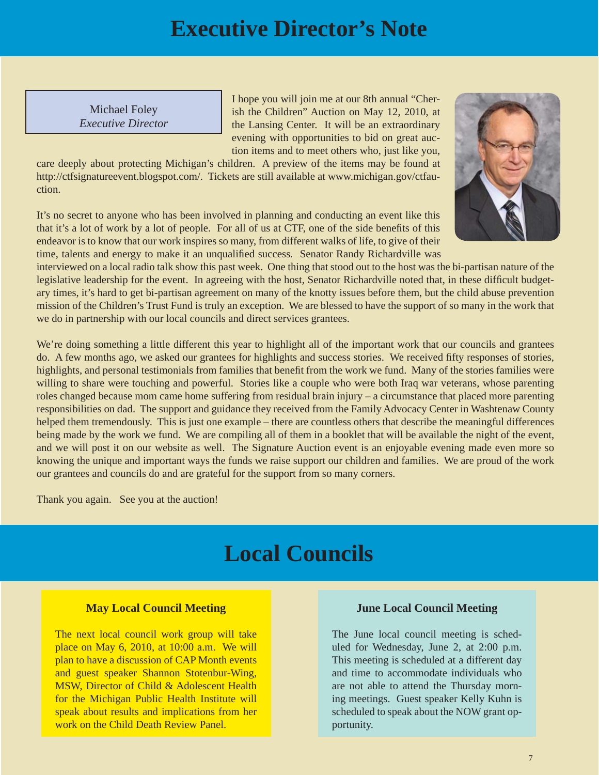### **Executive Director's Note**

<span id="page-6-0"></span>Michael Foley *Executive Director* I hope you will join me at our 8th annual "Cherish the Children" Auction on May 12, 2010, at the Lansing Center. It will be an extraordinary evening with opportunities to bid on great auction items and to meet others who, just like you,

care deeply about protecting Michigan's children. A preview of the items may be found at [http://ctfsignatureevent.blogspot.com/. Tickets are still available at www.michigan.gov/ctfau](www.michigan.gov/ctfauction)ction.

It's no secret to anyone who has been involved in planning and conducting an event like this that it's a lot of work by a lot of people. For all of us at CTF, one of the side benefits of this endeavor is to know that our work inspires so many, from different walks of life, to give of their time, talents and energy to make it an unqualified success. Senator Randy Richardville was



interviewed on a local radio talk show this past week. One thing that stood out to the host was the bi-partisan nature of the legislative leadership for the event. In agreeing with the host, Senator Richardville noted that, in these difficult budgetary times, it's hard to get bi-partisan agreement on many of the knotty issues before them, but the child abuse prevention mission of the Children's Trust Fund is truly an exception. We are blessed to have the support of so many in the work that we do in partnership with our local councils and direct services grantees.

We're doing something a little different this year to highlight all of the important work that our councils and grantees do. A few months ago, we asked our grantees for highlights and success stories. We received fifty responses of stories, highlights, and personal testimonials from families that benefit from the work we fund. Many of the stories families were willing to share were touching and powerful. Stories like a couple who were both Iraq war veterans, whose parenting roles changed because mom came home suffering from residual brain injury – a circumstance that placed more parenting responsibilities on dad. The support and guidance they received from the Family Advocacy Center in Washtenaw County helped them tremendously. This is just one example – there are countless others that describe the meaningful differences being made by the work we fund. We are compiling all of them in a booklet that will be available the night of the event, and we will post it on our website as well. The Signature Auction event is an enjoyable evening made even more so knowing the unique and important ways the funds we raise support our children and families. We are proud of the work our grantees and councils do and are grateful for the support from so many corners.

Thank you again. See you at the auction!

### **Local Councils**

### **May Local Council Meeting**

The next local council work group will take place on May 6, 2010, at 10:00 a.m. We will plan to have a discussion of CAP Month events and guest speaker Shannon Stotenbur-Wing, MSW, Director of Child & Adolescent Health for the Michigan Public Health Institute will speak about results and implications from her work on the Child Death Review Panel.

#### **June Local Council Meeting**

The June local council meeting is scheduled for Wednesday, June 2, at 2:00 p.m. This meeting is scheduled at a different day and time to accommodate individuals who are not able to attend the Thursday morning meetings. Guest speaker Kelly Kuhn is scheduled to speak about the NOW grant opportunity.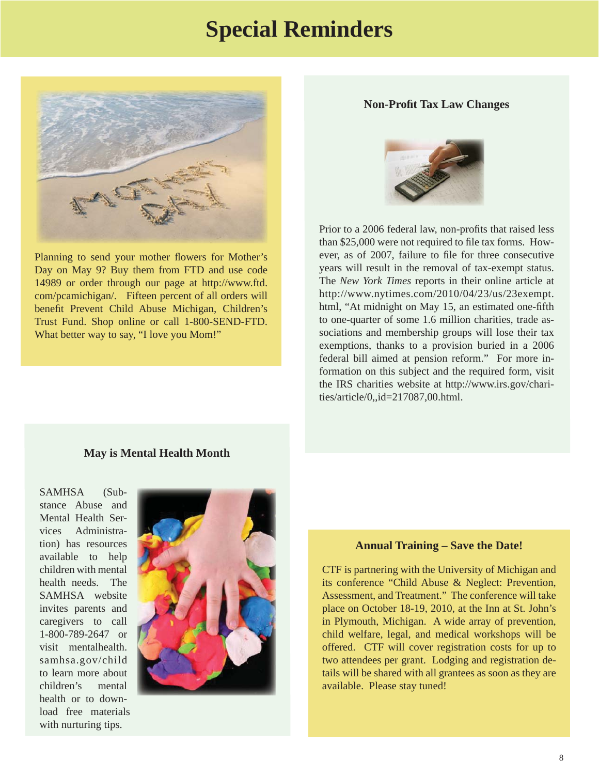### **Special Reminders**



Planning to send your mother flowers for Mother's Day on May 9? Buy them from FTD and use code 14989 or order through our page at http://www.ftd. [com/pcamichigan/. Fifteen percent of all orders will](http://www.ftd.com/pcamichigan)  benefit Prevent Child Abuse Michigan, Children's Trust Fund. Shop online or call 1-800-SEND-FTD. What better way to say, "I love you Mom!"

### **Non-Profit Tax Law Changes**



Prior to a 2006 federal law, non-profits that raised less than \$25,000 were not required to file tax forms. However, as of 2007, failure to file for three consecutive years will result in the removal of tax-exempt status. The *New York Times* reports in their online article at [http://www.nytimes.com/2010/04/23/us/23exempt.](http://www.nytimes.com/2010/04/23/us/23exempt.html) html, "At midnight on May 15, an estimated one-fifth to one-quarter of some 1.6 million charities, trade associations and membership groups will lose their tax exemptions, thanks to a provision buried in a 2006 federal bill aimed at pension reform." For more information on this subject and the required form, visit [the IRS charities website at http://www.irs.gov/chari](http://www.irs.gov/charities/article/0,,id=217087,00.html)ties/article/0,,id=217087,00.html.

### **May is Mental Health Month**

SAMHSA (Substance Abuse and Mental Health Services Administration) has resources available to help children with mental health needs. The SAMHSA website invites parents and caregivers to call 1-800-789-2647 or visit mentalhealth. [samhsa.gov/child](www.mentalhealth.samhsa.gov/child) to learn more about children's mental health or to download free materials with nurturing tips.



#### **Annual Training – Save the Date!**

CTF is partnering with the University of Michigan and its conference "Child Abuse & Neglect: Prevention, Assessment, and Treatment." The conference will take place on October 18-19, 2010, at the Inn at St. John's in Plymouth, Michigan. A wide array of prevention, child welfare, legal, and medical workshops will be offered. CTF will cover registration costs for up to two attendees per grant. Lodging and registration details will be shared with all grantees as soon as they are available. Please stay tuned!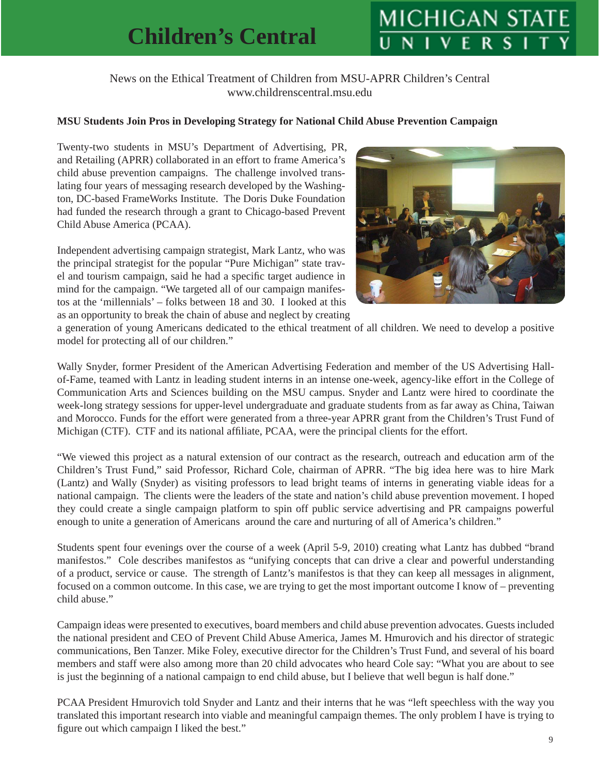# **MICHIGAN STA**

### News on the Ethical Treatment of Children from MSU-APRR Children's Central www.childrenscentral.msu.edu

### <span id="page-8-0"></span>**MSU Students Join Pros in Developing Strategy for National Child Abuse Prevention Campaign**

Twenty-two students in MSU's Department of Advertising, PR, and Retailing (APRR) collaborated in an effort to frame America's child abuse prevention campaigns. The challenge involved translating four years of messaging research developed by the Washington, DC-based FrameWorks Institute. The Doris Duke Foundation had funded the research through a grant to Chicago-based Prevent Child Abuse America (PCAA).

Independent advertising campaign strategist, Mark Lantz, who was the principal strategist for the popular "Pure Michigan" state travel and tourism campaign, said he had a specific target audience in mind for the campaign. "We targeted all of our campaign manifestos at the 'millennials' – folks between 18 and 30. I looked at this as an opportunity to break the chain of abuse and neglect by creating



a generation of young Americans dedicated to the ethical treatment of all children. We need to develop a positive model for protecting all of our children."

Wally Snyder, former President of the American Advertising Federation and member of the US Advertising Hallof-Fame, teamed with Lantz in leading student interns in an intense one-week, agency-like effort in the College of Communication Arts and Sciences building on the MSU campus. Snyder and Lantz were hired to coordinate the week-long strategy sessions for upper-level undergraduate and graduate students from as far away as China, Taiwan and Morocco. Funds for the effort were generated from a three-year APRR grant from the Children's Trust Fund of Michigan (CTF). CTF and its national affiliate, PCAA, were the principal clients for the effort.

"We viewed this project as a natural extension of our contract as the research, outreach and education arm of the Children's Trust Fund," said Professor, Richard Cole, chairman of APRR. "The big idea here was to hire Mark (Lantz) and Wally (Snyder) as visiting professors to lead bright teams of interns in generating viable ideas for a national campaign. The clients were the leaders of the state and nation's child abuse prevention movement. I hoped they could create a single campaign platform to spin off public service advertising and PR campaigns powerful enough to unite a generation of Americans around the care and nurturing of all of America's children."

Students spent four evenings over the course of a week (April 5-9, 2010) creating what Lantz has dubbed "brand manifestos." Cole describes manifestos as "unifying concepts that can drive a clear and powerful understanding of a product, service or cause. The strength of Lantz's manifestos is that they can keep all messages in alignment, focused on a common outcome. In this case, we are trying to get the most important outcome I know of – preventing child abuse."

Campaign ideas were presented to executives, board members and child abuse prevention advocates. Guests included the national president and CEO of Prevent Child Abuse America, James M. Hmurovich and his director of strategic communications, Ben Tanzer. Mike Foley, executive director for the Children's Trust Fund, and several of his board members and staff were also among more than 20 child advocates who heard Cole say: "What you are about to see is just the beginning of a national campaign to end child abuse, but I believe that well begun is half done."

PCAA President Hmurovich told Snyder and Lantz and their interns that he was "left speechless with the way you translated this important research into viable and meaningful campaign themes. The only problem I have is trying to figure out which campaign I liked the best."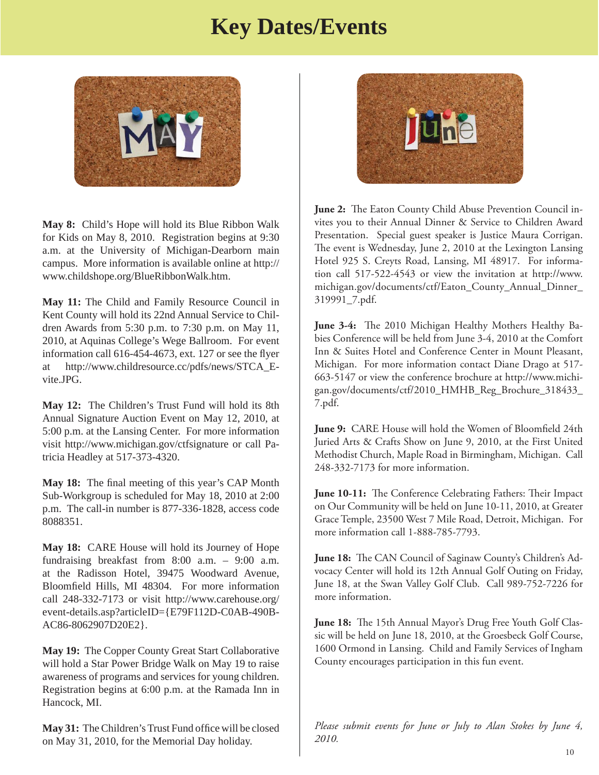### **Key Dates/Events**



**May 8:** Child's Hope will hold its Blue Ribbon Walk for Kids on May 8, 2010. Registration begins at 9:30 a.m. at the University of Michigan-Dearborn main campus. More information is available online at http:// www.childshope.org/BlueRibbonWalk.htm.

**May 11:** The Child and Family Resource Council in Kent County will hold its 22nd Annual Service to Children Awards from 5:30 p.m. to 7:30 p.m. on May 11, 2010, at Aquinas College's Wege Ballroom. For event information call  $616-454-4673$ , ext. 127 or see the flyer at http://www.childresource.cc/pdfs/news/STCA\_Evite.JPG.

**May 12:** The Children's Trust Fund will hold its 8th Annual Signature Auction Event on May 12, 2010, at 5:00 p.m. at the Lansing Center. For more information visit http://www.michigan.gov/ctfsignature or call Patricia Headley at 517-373-4320.

May 18: The final meeting of this year's CAP Month Sub-Workgroup is scheduled for May 18, 2010 at 2:00 p.m. The call-in number is 877-336-1828, access code 8088351.

**May 18:** CARE House will hold its Journey of Hope fundraising breakfast from 8:00 a.m. – 9:00 a.m. at the Radisson Hotel, 39475 Woodward Avenue, Bloomfield Hills, MI 48304. For more information call 248-332-7173 or visit http://www.carehouse.org/ event-details.asp?articleID={E79F112D-C0AB-490B-AC86-8062907D20E2}.

**May 19:** The Copper County Great Start Collaborative will hold a Star Power Bridge Walk on May 19 to raise awareness of programs and services for young children. Registration begins at 6:00 p.m. at the Ramada Inn in Hancock, MI.

**May 31:** The Children's Trust Fund office will be closed on May 31, 2010, for the Memorial Day holiday.



June 2: The Eaton County Child Abuse Prevention Council invites you to their Annual Dinner & Service to Children Award Presentation. Special guest speaker is Justice Maura Corrigan. The event is Wednesday, June 2, 2010 at the Lexington Lansing Hotel 925 S. Creyts Road, Lansing, MI 48917. For information call 517-522-4543 or view the invitation at http://www. [michigan.gov/documents/ctf/Eaton\\_County\\_Annual\\_Dinner\\_](http://www.michigan.gov/documents/ctf/Eaton_County_Annual_Dinner_319991_7.pdf) 319991\_7.pdf.

**June 3-4:** The 2010 Michigan Healthy Mothers Healthy Babies Conference will be held from June 3-4, 2010 at the Comfort Inn & Suites Hotel and Conference Center in Mount Pleasant, Michigan. For more information contact Diane Drago at 517- 663-5147 or view the conference brochure at http://www.michi[gan.gov/documents/ctf/2010\\_HMHB\\_Reg\\_Brochure\\_318433\\_](http://www.michigan.gov/documents/ctf/2010_HMHB_Reg_Brochure_318433_7.pdf) 7.pdf.

**June 9:** CARE House will hold the Women of Bloomfield 24th Juried Arts & Crafts Show on June 9, 2010, at the First United Methodist Church, Maple Road in Birmingham, Michigan. Call 248-332-7173 for more information.

**June 10-11:** The Conference Celebrating Fathers: Their Impact on Our Community will be held on June 10-11, 2010, at Greater Grace Temple, 23500 West 7 Mile Road, Detroit, Michigan. For more information call 1-888-785-7793.

**June 18:** The CAN Council of Saginaw County's Children's Advocacy Center will hold its 12th Annual Golf Outing on Friday, June 18, at the Swan Valley Golf Club. Call 989-752-7226 for more information.

**June 18:** The 15th Annual Mayor's Drug Free Youth Golf Classic will be held on June 18, 2010, at the Groesbeck Golf Course, 1600 Ormond in Lansing. Child and Family Services of Ingham County encourages participation in this fun event.

*Please submit events for June or July to Alan Stokes by June 4, 2010.*